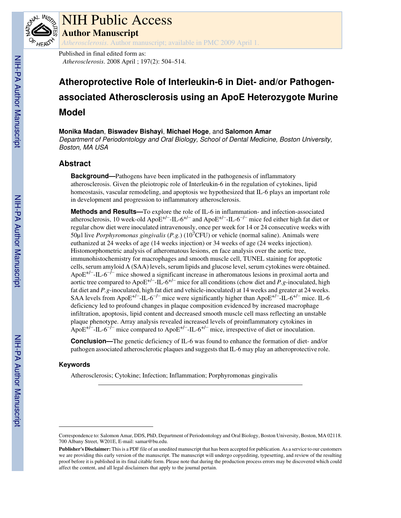

# NIH Public Access

**Author Manuscript**

*Atherosclerosis*. Author manuscript; available in PMC 2009 April 1.

Published in final edited form as: *Atherosclerosis*. 2008 April ; 197(2): 504–514.

## **Atheroprotective Role of Interleukin-6 in Diet- and/or Pathogenassociated Atherosclerosis using an ApoE Heterozygote Murine Model**

**Monika Madan**, **Biswadev Bishayi**, **Michael Hoge**, and **Salomon Amar** Department of Periodontology and Oral Biology, School of Dental Medicine, Boston University, Boston, MA USA

## **Abstract**

**Background—**Pathogens have been implicated in the pathogenesis of inflammatory atherosclerosis. Given the pleiotropic role of Interleukin-6 in the regulation of cytokines, lipid homeostasis, vascular remodeling, and apoptosis we hypothesized that IL-6 plays an important role in development and progression to inflammatory atherosclerosis.

**Methods and Results—**To explore the role of IL-6 in inflammation- and infection-associated atherosclerosis, 10 week-old ApoE<sup>+/−</sup>-IL-6<sup>+/−</sup> and ApoE<sup>+/−</sup>-IL-6<sup>-/−</sup> mice fed either high fat diet or regular chow diet were inoculated intravenously, once per week for 14 or 24 consecutive weeks with 50µl live *Porphyromonas gingivalis* (*P.g.*) (107CFU) or vehicle (normal saline). Animals were euthanized at 24 weeks of age (14 weeks injection) or 34 weeks of age (24 weeks injection). Histomorphometric analysis of atheromatous lesions, en face analysis over the aortic tree, immunohistochemistry for macrophages and smooth muscle cell, TUNEL staining for apoptotic cells, serum amyloid A (SAA) levels, serum lipids and glucose level, serum cytokines were obtained. ApoE<sup>+/−</sup>-IL-6<sup>-/−</sup> mice showed a significant increase in atheromatous lesions in proximal aorta and aortic tree compared to ApoE+/−-IL-6+/− mice for all conditions (chow diet and *P.g*-inoculated, high fat diet and *P.g*-inoculated, high fat diet and vehicle-inoculated) at 14 weeks and greater at 24 weeks. SAA levels from ApoE<sup>+/−</sup>-IL-6<sup>-/−</sup> mice were significantly higher than ApoE<sup>+/−</sup>-IL-6<sup>+/−</sup> mice. IL-6 deficiency led to profound changes in plaque composition evidenced by increased macrophage infiltration, apoptosis, lipid content and decreased smooth muscle cell mass reflecting an unstable plaque phenotype. Array analysis revealed increased levels of proinflammatory cytokines in ApoE<sup>+ $\hat{i}$ -IL-6<sup>- $\hat{i}$ - mice compared to ApoE<sup>+/-</sup>-IL-6<sup>+/-</sup> mice, irrespective of diet or inoculation.</sup></sup>

**Conclusion—**The genetic deficiency of IL-6 was found to enhance the formation of diet- and/or pathogen associated atherosclerotic plaques and suggests that IL-6 may play an atheroprotective role.

## **Keywords**

Atherosclerosis; Cytokine; Infection; Inflammation; Porphyromonas gingivalis

Correspondence to: Salomon Amar, DDS, PhD, Department of Periodontology and Oral Biology, Boston University, Boston, MA 02118. 700 Albany Street, W201E, E-mail: samar@bu.edu.

**Publisher's Disclaimer:** This is a PDF file of an unedited manuscript that has been accepted for publication. As a service to our customers we are providing this early version of the manuscript. The manuscript will undergo copyediting, typesetting, and review of the resulting proof before it is published in its final citable form. Please note that during the production process errors may be discovered which could affect the content, and all legal disclaimers that apply to the journal pertain.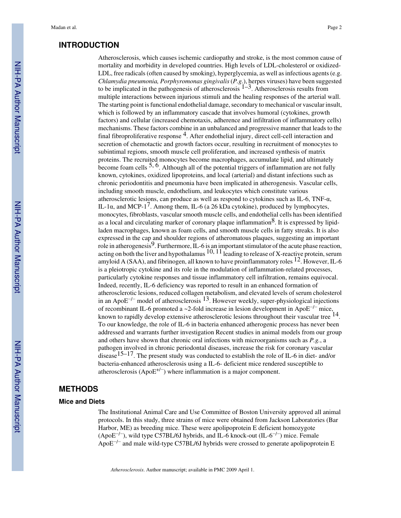#### **INTRODUCTION**

Atherosclerosis, which causes ischemic cardiopathy and stroke, is the most common cause of mortality and morbidity in developed countries. High levels of LDL-cholesterol or oxidized-LDL, free radicals (often caused by smoking), hyperglycemia, as well as infectious agents (e.g. *Chlamydia pneumonia, Porphyromonas gingivalis* (*P.g.*), herpes viruses) have been suggested to be implicated in the pathogenesis of atherosclerosis  $1-3$ . Atherosclerosis results from multiple interactions between injurious stimuli and the healing responses of the arterial wall. The starting point is functional endothelial damage, secondary to mechanical or vascular insult, which is followed by an inflammatory cascade that involves humoral (cytokines, growth factors) and cellular (increased chemotaxis, adherence and infiltration of inflammatory cells) mechanisms. These factors combine in an unbalanced and progressive manner that leads to the final fibroproliferative response  $4$ . After endothelial injury, direct cell-cell interaction and secretion of chemotactic and growth factors occur, resulting in recruitment of monocytes to subintimal regions, smooth muscle cell proliferation, and increased synthesis of matrix proteins. The recruited monocytes become macrophages, accumulate lipid, and ultimately become foam cells  $5, 6$ . Although all of the potential triggers of inflammation are not fully known, cytokines, oxidized lipoproteins, and local (arterial) and distant infections such as chronic periodontitis and pneumonia have been implicated in atherogenesis. Vascular cells, including smooth muscle, endothelium, and leukocytes which constitute various atherosclerotic lesions, can produce as well as respond to cytokines such as IL-6, TNF- $\alpha$ , IL-1 $\alpha$ , and MCP-1<sup>7</sup>. Among them, IL-6 (a 26 kDa cytokine), produced by lymphocytes, monocytes, fibroblasts, vascular smooth muscle cells, and endothelial cells has been identified as a local and circulating marker of coronary plaque inflammation<sup>8</sup>. It is expressed by lipidladen macrophages, known as foam cells, and smooth muscle cells in fatty streaks. It is also expressed in the cap and shoulder regions of atheromatous plaques, suggesting an important role in atherogenesis<sup>9</sup>. Furthermore, IL-6 is an important stimulator of the acute phase reaction, acting on both the liver and hypothalamus  $10$ ,  $11$  leading to release of X-reactive protein, serum amyloid A (SAA), and fibrinogen, all known to have proinflammatory roles  $^{12}$ . However, IL-6 is a pleiotropic cytokine and its role in the modulation of inflammation-related processes, particularly cytokine responses and tissue inflammatory cell infiltration, remains equivocal. Indeed, recently, IL-6 deficiency was reported to result in an enhanced formation of atherosclerotic lesions, reduced collagen metabolism, and elevated levels of serum cholesterol in an Apo $E^{-/-}$  model of atherosclerosis  $^{13}$ . However weekly, super-physiological injections of recombinant IL-6 promoted a ~2-fold increase in lesion development in ApoE−/− mice, known to rapidly develop extensive atherosclerotic lesions throughout their vascular tree <sup>14</sup>. To our knowledge, the role of IL-6 in bacteria enhanced atherogenic process has never been addressed and warrants further investigation Recent studies in animal models from our group and others have shown that chronic oral infections with microorganisms such as *P.g.*, a pathogen involved in chronic periodontal diseases, increase the risk for coronary vascular disease<sup>15–17</sup>. The present study was conducted to establish the role of IL-6 in diet- and/or bacteria-enhanced atherosclerosis using a IL-6- deficient mice rendered susceptible to atherosclerosis (Apo $E^{+/-}$ ) where inflammation is a major component.

## **METHODS**

#### **Mice and Diets**

The Institutional Animal Care and Use Committee of Boston University approved all animal protocols. In this study, three strains of mice were obtained from Jackson Laboratories (Bar Harbor, ME) as breeding mice. These were apolipoprotein E deficient homozygote (ApoE<sup>−/−</sup>), wild type C57BL/6J hybrids, and IL-6 knock-out (IL-6<sup>−/−</sup>) mice. Female ApoE−/− and male wild-type C57BL/6J hybrids were crossed to generate apolipoprotein E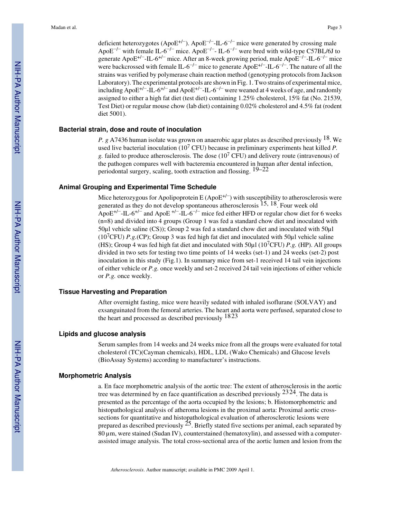deficient heterozygotes (ApoE<sup>+/−</sup>). ApoE<sup>-/−</sup>-IL-6<sup>-/−</sup> mice were generated by crossing male ApoE<sup>-/−</sup> with female IL-6<sup>-/−</sup> mice. ApoE<sup>-/−</sup>- IL-6<sup>-/−</sup> were bred with wild-type C57BL/6J to generate ApoE<sup>+/−</sup>-IL-6<sup>+/−</sup> mice. After an 8-week growing period, male ApoE<sup>-/−</sup>-IL-6<sup>-/−</sup> mice were backcrossed with female IL-6<sup>-/-</sup> mice to generate ApoE<sup>+/-</sup>-IL-6<sup>-/-</sup>. The nature of all the strains was verified by polymerase chain reaction method (genotyping protocols from Jackson Laboratory). The experimental protocols are shown in Fig. 1. Two strains of experimental mice, including ApoE<sup>+/−</sup>-IL-6<sup>+/−</sup> and ApoE<sup>+/−</sup>-IL-6<sup>-/−</sup> were weaned at 4 weeks of age, and randomly assigned to either a high fat diet (test diet) containing 1.25% cholesterol, 15% fat (No. 21539, Test Diet) or regular mouse chow (lab diet) containing 0.02% cholesterol and 4.5% fat (rodent diet 5001).

#### **Bacterial strain, dose and route of inoculation**

*P. g* A7436 human isolate was grown on anaerobic agar plates as described previously 18. We used live bacterial inoculation (10<sup>7</sup> CFU) because in preliminary experiments heat killed *P.* g. failed to produce atherosclerosis. The dose  $(10^7 \text{ CFU})$  and delivery route (intravenous) of the pathogen compares well with bacteremia encountered in human after dental infection, periodontal surgery, scaling, tooth extraction and flossing.  $19-22$ 

#### **Animal Grouping and Experimental Time Schedule**

Mice heterozygous for Apolipoprotein E (Apo $E^{+/-}$ ) with susceptibility to atherosclerosis were generated as they do not develop spontaneous atherosclerosis 15, 18. Four week old ApoE<sup>+/−</sup>-IL-6<sup>+/−</sup> and ApoE<sup>+/−</sup>-IL-6<sup>-/−</sup> mice fed either HFD or regular chow diet for 6 weeks (n=8) and divided into 4 groups (Group 1 was fed a standard chow diet and inoculated with 50µl vehicle saline (CS)); Group 2 was fed a standard chow diet and inoculated with 50µl (107CFU) *P.g.*(CP); Group 3 was fed high fat diet and inoculated with 50µl vehicle saline (HS); Group 4 was fed high fat diet and inoculated with 50µl (107CFU) *P.g.* (HP). All groups divided in two sets for testing two time points of 14 weeks (set-1) and 24 weeks (set-2) post inoculation in this study (Fig.1). In summary mice from set-1 received 14 tail vein injections of either vehicle or *P.g.* once weekly and set-2 received 24 tail vein injections of either vehicle or *P.g.* once weekly.

#### **Tissue Harvesting and Preparation**

After overnight fasting, mice were heavily sedated with inhaled isoflurane (SOLVAY) and exsanguinated from the femoral arteries. The heart and aorta were perfused, separated close to the heart and processed as described previously 1823

#### **Lipids and glucose analysis**

Serum samples from 14 weeks and 24 weeks mice from all the groups were evaluated for total cholesterol (TC)(Cayman chemicals), HDL, LDL (Wako Chemicals) and Glucose levels (BioAssay Systems) according to manufacturer's instructions.

#### **Morphometric Analysis**

a. En face morphometric analysis of the aortic tree: The extent of atherosclerosis in the aortic tree was determined by en face quantification as described previously  $2324$ . The data is presented as the percentage of the aorta occupied by the lesions; b. Histomorphometric and histopathological analysis of atheroma lesions in the proximal aorta: Proximal aortic crosssections for quantitative and histopathological evaluation of atherosclerotic lesions were prepared as described previously  $^{25}$ . Briefly stated five sections per animal, each separated by 80 µm, were stained (Sudan IV), counterstained (hematoxylin), and assessed with a computerassisted image analysis. The total cross-sectional area of the aortic lumen and lesion from the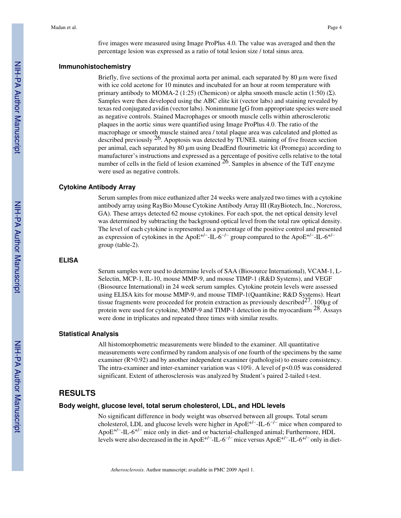five images were measured using Image ProPlus 4.0. The value was averaged and then the percentage lesion was expressed as a ratio of total lesion size / total sinus area.

#### **Immunohistochemistry**

Briefly, five sections of the proximal aorta per animal, each separated by 80 µm were fixed with ice cold acetone for 10 minutes and incubated for an hour at room temperature with primary antibody to MOMA-2 (1:25) (Chemicon) or alpha smooth muscle actin (1:50) (Σ). Samples were then developed using the ABC elite kit (vector labs) and staining revealed by texas red conjugated avidin (vector labs). Nonimmune IgG from appropriate species were used as negative controls. Stained Macrophages or smooth muscle cells within atherosclerotic plaques in the aortic sinus were quantified using Image ProPlus 4.0. The ratio of the macrophage or smooth muscle stained area / total plaque area was calculated and plotted as described previously  $26$ . Apoptosis was detected by TUNEL staining of five frozen section per animal, each separated by 80 µm using DeadEnd flourimetric kit (Promega) according to manufacturer's instructions and expressed as a percentage of positive cells relative to the total number of cells in the field of lesion examined  $^{26}$ . Samples in absence of the TdT enzyme were used as negative controls.

#### **Cytokine Antibody Array**

Serum samples from mice euthanized after 24 weeks were analyzed two times with a cytokine antibody array using RayBio Mouse Cytokine Antibody Array III (RayBiotech, Inc., Norcross, GA). These arrays detected 62 mouse cytokines. For each spot, the net optical density level was determined by subtracting the background optical level from the total raw optical density. The level of each cytokine is represented as a percentage of the positive control and presented as expression of cytokines in the ApoE<sup>+/−</sup>-IL-6<sup>-/−</sup> group compared to the ApoE<sup>+/−</sup>-IL-6<sup>+/−</sup> group (table-2).

#### **ELISA**

Serum samples were used to determine levels of SAA (Biosource International), VCAM-1, L-Selectin, MCP-1, IL-10, mouse MMP-9, and mouse TIMP-1 (R&D Systems), and VEGF (Biosource International) in 24 week serum samples. Cytokine protein levels were assessed using ELISA kits for mouse MMP-9, and mouse TIMP-1(Quantikine; R&D Systems). Heart tissue fragments were proceeded for protein extraction as previously described<sup>27</sup>. 100 $\mu$ g of protein were used for cytokine, MMP-9 and TIMP-1 detection in the myocardium 28. Assays were done in triplicates and repeated three times with similar results.

#### **Statistical Analysis**

All histomorphometric measurements were blinded to the examiner. All quantitative measurements were confirmed by random analysis of one fourth of the specimens by the same examiner (R>0.92) and by another independent examiner (pathologist) to ensure consistency. The intra-examiner and inter-examiner variation was <10%. A level of p<0.05 was considered significant. Extent of atherosclerosis was analyzed by Student's paired 2-tailed t-test.

## **RESULTS**

#### **Body weight, glucose level, total serum cholesterol, LDL, and HDL levels**

No significant difference in body weight was observed between all groups. Total serum cholesterol, LDL and glucose levels were higher in ApoE<sup>+/−</sup>-IL-6<sup>-/−</sup> mice when compared to ApoE+/−-IL-6+/− mice only in diet- and or bacterial-challenged animal; Furthermore, HDL levels were also decreased in the in ApoE+/−-IL-6−/− mice versus ApoE+/−-IL-6+/− only in diet-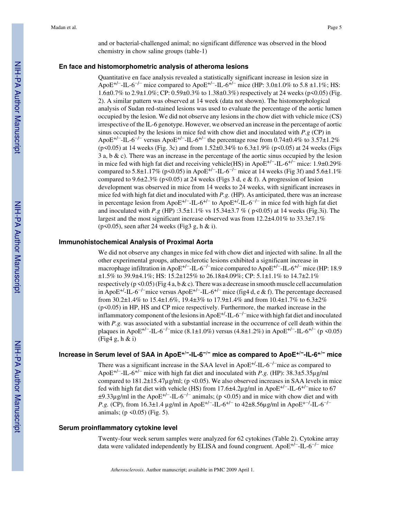and or bacterial-challenged animal; no significant difference was observed in the blood chemistry in chow saline groups (table-1)

#### **En face and histomorphometric analysis of atheroma lesions**

Quantitative en face analysis revealed a statistically significant increase in lesion size in ApoE<sup>+/−</sup>-IL-6<sup>-/−</sup> mice compared to ApoE<sup>+/−</sup>-IL-6<sup>+/−</sup> mice (HP: 3.0±1.0% to 5.8 ±1.1%; HS: 1.6±0.7% to 2.9±1.0%; CP: 0.59±0.3% to 1.38±0.3%) respectively at 24 weeks (p<0.05) (Fig. 2). A similar pattern was observed at 14 week (data not shown). The histomorphological analysis of Sudan red-stained lesions was used to evaluate the percentage of the aortic lumen occupied by the lesion. We did not observe any lesions in the chow diet with vehicle mice (CS) irrespective of the IL-6 genotype. However, we observed an increase in the percentage of aortic sinus occupied by the lesions in mice fed with chow diet and inoculated with *P.g* (CP) in ApoE<sup>+/−</sup>-IL-6<sup>-/−</sup> versus ApoE<sup>+/−</sup>-IL-6<sup>+/−</sup> the percentage rose from 0.74±0.4% to 3.57±1.2%  $(p<0.05)$  at 14 weeks (Fig. 3c) and from 1.52 $\pm$ 0.34% to 6.3 $\pm$ 1.9% (p $<$ 0.05) at 24 weeks (Figs 3 a, b  $\&$  c). There was an increase in the percentage of the aortic sinus occupied by the lesion in mice fed with high fat diet and receiving vehicle(HS) in ApoE+/−-IL-6+/− mice: 1.9±0.29% compared to 5.8±1.17% (p<0.05) in ApoE<sup>+/−</sup>-IL-6<sup>-/−</sup> mice at 14 weeks (Fig 3f) and 5.6±1.1% compared to  $9.6\pm2.3\%$  (p<0.05) at 24 weeks (Figs 3 d, e & f). A progression of lesion development was observed in mice from 14 weeks to 24 weeks, with significant increases in mice fed with high fat diet and inoculated with *P.g.* (HP). As anticipated, there was an increase in percentage lesion from ApoE<sup>+/−</sup>-IL-6<sup>+/−</sup> to ApoE<sup>+/</sup>-IL-6<sup>-/−</sup> in mice fed with high fat diet and inoculated with *P.g* (HP) :3.5±1.1% vs 15.34±3.7 % ( p<0.05) at 14 weeks (Fig.3i). The largest and the most significant increase observed was from 12.2±4.01% to 33.3±7.1% (p<0.05), seen after 24 weeks (Fig3 g, h & i).

#### **Immunohistochemical Analysis of Proximal Aorta**

We did not observe any changes in mice fed with chow diet and injected with saline. In all the other experimental groups, atherosclerotic lesions exhibited a significant increase in macrophage infiltration in ApoE<sup>+/−</sup>-IL-6<sup>-/−</sup>mice compared to ApoE<sup>+/−</sup>-IL-6<sup>+/−</sup> mice (HP: 18.9 ±1.5% to 39.9±4.1%; HS: 15.2±125% to 26.18±4.09%; CP: 5.1±1.1% to 14.7±2.1% respectively ( $p \le 0.05$ ) (Fig 4 a, b & c). There was a decrease in smooth muscle cell accumulation in ApoE<sup>+/</sup>-IL-6<sup>-/-</sup>mice versus ApoE<sup>+/-</sup>-IL-6<sup>+/-</sup> mice (fig4 d, e & f). The percentage decreased from 30.2±1.4% to 15.4±1.6%, 19.4±3% to 17.9±1.4% and from 10.4±1.7% to 6.3±2% (p<0.05) in HP, HS and CP mice respectively. Furthermore, the marked increase in the inflammatory component of the lesions in Apo $E^{+/-}$ IL-6<sup> $-/-$ </sup>mice with high fat diet and inoculated with *P.g.* was associated with a substantial increase in the occurrence of cell death within the plaques in ApoE<sup>+/−</sup>-IL-6<sup>-/−</sup>mice (8.1±1.0%) versus (4.8±1.2%) in ApoE<sup>+/−</sup>-IL-6<sup>+/−</sup> (p <0.05) (Fig4 g, h & i)

## **Increase in Serum level of SAA in ApoE+/−-IL-6−/− mice as compared to ApoE+/−-IL-6+/− mice**

There was a significant increase in the SAA level in ApoE<sup>+/</sup>-IL- $6^{-/-}$ mice as compared to ApoE+/−-IL-6+/− mice with high fat diet and inoculated with *P.g.* (HP): 38.3±5.35µg/ml compared to 181.2±15.47µg/ml; (p <0.05). We also observed increases in SAA levels in mice fed with high fat diet with vehicle (HS) from 17.6±4.2µg/ml in ApoE+/−-IL-6+/−mice to 67  $\pm$ 9.33µg/ml in the ApoE<sup>+/−</sup>-IL-6<sup>-/−</sup> animals; (p <0.05) and in mice with chow diet and with *P.g.* (CP), from 16.3±1.4 µg/ml in ApoE<sup>+/−</sup>-IL-6<sup>+/−</sup> to 42±8.56µg/ml in ApoE<sup>+-/</sup>-IL-6<sup>-/−</sup> animals; ( $p \le 0.05$ ) (Fig. 5).

#### **Serum proinflammatory cytokine level**

Twenty-four week serum samples were analyzed for 62 cytokines (Table 2). Cytokine array data were validated independently by ELISA and found congruent. ApoE+/−-IL-6−/− mice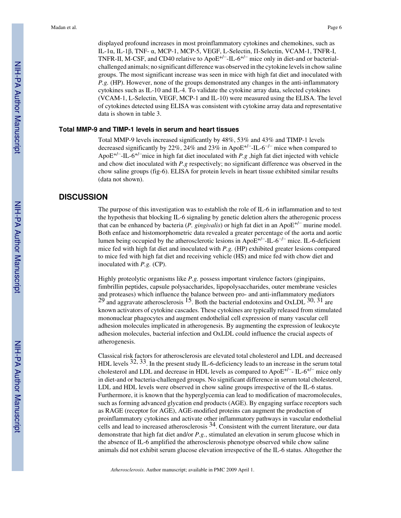displayed profound increases in most proinflammatory cytokines and chemokines, such as IL-1α, IL-1β, TNF- α, MCP-1, MCP-5, VEGF, L-Selectin, Π-Selectin, VCAM-1, TNFR-I, TNFR-II, M-CSF, and CD40 relative to ApoE+/−-IL-6+/− mice only in diet-and or bacterialchallenged animals; no significant difference was observed in the cytokine levels in chow saline groups. The most significant increase was seen in mice with high fat diet and inoculated with *P.g.* (HP). However, none of the groups demonstrated any changes in the anti-inflammatory cytokines such as IL-10 and IL-4. To validate the cytokine array data, selected cytokines (VCAM-1, L-Selectin, VEGF, MCP-1 and IL-10) were measured using the ELISA. The level of cytokines detected using ELISA was consistent with cytokine array data and representative data is shown in table 3.

#### **Total MMP-9 and TIMP-1 levels in serum and heart tissues**

Total MMP-9 levels increased significantly by 48%, 53% and 43% and TIMP-1 levels decreased significantly by 22%, 24% and 23% in ApoE+/−-IL-6−/− mice when compared to ApoE+/−-IL-6+/−mice in high fat diet inoculated with *P.g* ,high fat diet injected with vehicle and chow diet inoculated with *P.g* respectively; no significant difference was observed in the chow saline groups (fig-6). ELISA for protein levels in heart tissue exhibited similar results (data not shown).

#### **DISCUSSION**

The purpose of this investigation was to establish the role of IL-6 in inflammation and to test the hypothesis that blocking IL-6 signaling by genetic deletion alters the atherogenic process that can be enhanced by bacteria (*P. gingivalis*) or high fat diet in an Apo $E^{+/-}$  murine model. Both enface and histomorphometric data revealed a greater percentage of the aorta and aortic lumen being occupied by the atherosclerotic lesions in ApoE+/−-IL-6−/− mice. IL-6-deficient mice fed with high fat diet and inoculated with *P.g.* (HP) exhibited greater lesions compared to mice fed with high fat diet and receiving vehicle (HS) and mice fed with chow diet and inoculated with *P.g.* (CP).

Highly proteolytic organisms like *P.g.* possess important virulence factors (gingipains, fimbrillin peptides, capsule polysaccharides, lipopolysaccharides, outer membrane vesicles and proteases) which influence the balance between pro- and anti-inflammatory mediators  $^{29}$  and aggravate atherosclerosis <sup>15</sup>. Both the bacterial endotoxins and OxLDL  $^{30, 31}$  are known activators of cytokine cascades. These cytokines are typically released from stimulated mononuclear phagocytes and augment endothelial cell expression of many vascular cell adhesion molecules implicated in atherogenesis. By augmenting the expression of leukocyte adhesion molecules, bacterial infection and OxLDL could influence the crucial aspects of atherogenesis.

Classical risk factors for atherosclerosis are elevated total cholesterol and LDL and decreased HDL levels  $32, 33$ . In the present study IL-6-deficiency leads to an increase in the serum total cholesterol and LDL and decrease in HDL levels as compared to Apo $E^{+/-}$ - IL-6<sup>+/−</sup> mice only in diet-and or bacteria-challenged groups. No significant difference in serum total cholesterol, LDL and HDL levels were observed in chow saline groups irrespective of the IL-6 status. Furthermore, it is known that the hyperglycemia can lead to modification of macromolecules, such as forming advanced glycation end products (AGE). By engaging surface receptors such as RAGE (receptor for AGE), AGE-modified proteins can augment the production of proinflammatory cytokines and activate other inflammatory pathways in vascular endothelial cells and lead to increased atherosclerosis 34. Consistent with the current literature, our data demonstrate that high fat diet and/or *P.g.*, stimulated an elevation in serum glucose which in the absence of IL-6 amplified the atherosclerosis phenotype observed while chow saline animals did not exhibit serum glucose elevation irrespective of the IL-6 status. Altogether the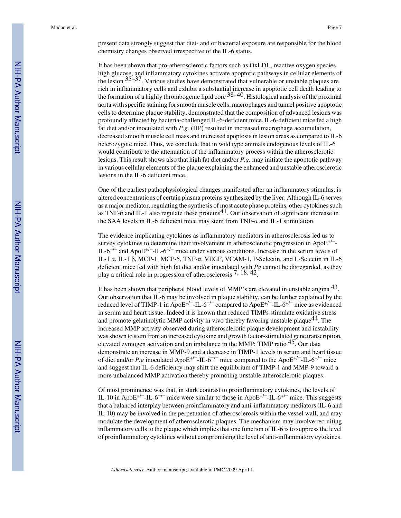present data strongly suggest that diet- and or bacterial exposure are responsible for the blood chemistry changes observed irrespective of the IL-6 status.

It has been shown that pro-atherosclerotic factors such as OxLDL, reactive oxygen species, high glucose, and inflammatory cytokines activate apoptotic pathways in cellular elements of the lesion  $35-37$ . Various studies have demonstrated that vulnerable or unstable plaques are rich in inflammatory cells and exhibit a substantial increase in apoptotic cell death leading to the formation of a highly thrombogenic lipid core  $38-40$ . Histological analysis of the proximal aorta with specific staining for smooth muscle cells, macrophages and tunnel positive apoptotic cells to determine plaque stability, demonstrated that the composition of advanced lesions was profoundly affected by bacteria-challenged IL-6-deficient mice. IL-6-deficient mice fed a high fat diet and/or inoculated with *P.g.* (HP) resulted in increased macrophage accumulation, decreased smooth muscle cell mass and increased apoptosis in lesion areas as compared to IL-6 heterozygote mice. Thus, we conclude that in wild type animals endogenous levels of IL-6 would contribute to the attenuation of the inflammatory process within the atherosclerotic lesions. This result shows also that high fat diet and/or *P.g.* may initiate the apoptotic pathway in various cellular elements of the plaque explaining the enhanced and unstable atherosclerotic lesions in the IL-6 deficient mice.

One of the earliest pathophysiological changes manifested after an inflammatory stimulus, is altered concentrations of certain plasma proteins synthesized by the liver. Although IL-6 serves as a major mediator, regulating the synthesis of most acute phase proteins, other cytokines such as TNF- $\alpha$  and IL-1 also regulate these proteins<sup>41</sup>. Our observation of significant increase in the SAA levels in IL-6 deficient mice may stem from TNF- $\alpha$  and IL-1 stimulation.

The evidence implicating cytokines as inflammatory mediators in atherosclerosis led us to survey cytokines to determine their involvement in atherosclerotic progression in ApoE<sup>+/−</sup>-IL-6<sup>-/−</sup> and ApoE<sup>+/−</sup>-IL-6<sup>+/−</sup> mice under various conditions. Increase in the serum levels of IL-1 α, IL-1 β, MCP-1, MCP-5, TNF-α, VEGF, VCAM-1, P-Selectin, and L-Selectin in IL-6 deficient mice fed with high fat diet and/or inoculated with *Pg* cannot be disregarded, as they play a critical role in progression of atherosclerosis 7, 18, 42.

It has been shown that peripheral blood levels of MMP's are elevated in unstable angina 43. Our observation that IL-6 may be involved in plaque stability, can be further explained by the reduced level of TIMP-1 in ApoE+/−-IL-6−/− compared to ApoE+/−-IL-6+/− mice as evidenced in serum and heart tissue. Indeed it is known that reduced TIMPs stimulate oxidative stress and promote gelatinolytic MMP activity in vivo thereby favoring unstable plaque<sup>44</sup>. The increased MMP activity observed during atherosclerotic plaque development and instability was shown to stem from an increased cytokine and growth factor-stimulated gene transcription, elevated zymogen activation and an imbalance in the MMP: TIMP ratio 45. Our data demonstrate an increase in MMP-9 and a decrease in TIMP-1 levels in serum and heart tissue of diet and/or *P.g* inoculated ApoE+/−-IL-6−/− mice compared to the ApoE+/−-IL-6+/− mice and suggest that IL-6 deficiency may shift the equilibrium of TIMP-1 and MMP-9 toward a more unbalanced MMP activation thereby promoting unstable atherosclerotic plaques.

Of most prominence was that, in stark contrast to proinflammatory cytokines, the levels of IL-10 in ApoE<sup>+/−</sup>-IL-6<sup>-/−</sup> mice were similar to those in ApoE<sup>+/−</sup>-IL-6<sup>+/−</sup> mice. This suggests that a balanced interplay between proinflammatory and anti-inflammatory mediators (IL-6 and IL-10) may be involved in the perpetuation of atherosclerosis within the vessel wall, and may modulate the development of atherosclerotic plaques. The mechanism may involve recruiting inflammatory cells to the plaque which implies that one function of IL-6 is to suppress the level of proinflammatory cytokines without compromising the level of anti-inflammatory cytokines.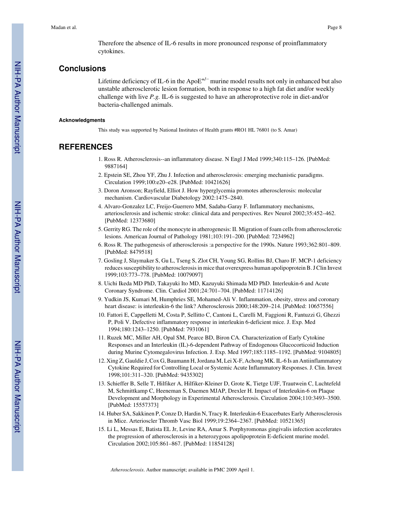## **Conclusions**

Lifetime deficiency of IL-6 in the  $ApoE^{+/-}$  murine model results not only in enhanced but also unstable atherosclerotic lesion formation, both in response to a high fat diet and/or weekly challenge with live *P.g.* IL-6 is suggested to have an atheroprotective role in diet-and/or bacteria-challenged animals.

#### **Acknowledgments**

This study was supported by National Institutes of Health grants #RO1 HL 76801 (to S. Amar)

## **REFERENCES**

- 1. Ross R. Atherosclerosis--an inflammatory disease. N Engl J Med 1999;340:115–126. [PubMed: 9887164]
- 2. Epstein SE, Zhou YF, Zhu J. Infection and atherosclerosis: emerging mechanistic paradigms. Circulation 1999;100:e20–e28. [PubMed: 10421626]
- 3. Doron Aronson; Rayfield, Elliot J. How hyperglycemia promotes atherosclerosis: molecular mechanism. Cardiovascular Diabetology 2002:1475–2840.
- 4. Alvaro-Gonzalez LC, Freijo-Guerrero MM, Sadaba-Garay F. Inflammatory mechanisms, arteriosclerosis and ischemic stroke: clinical data and perspectives. Rev Neurol 2002;35:452–462. [PubMed: 12373680]
- 5. Gerrity RG. The role of the monocyte in atherogenesis: II. Migration of foam cells from atherosclerotic lesions. American Journal of Pathology 1981;103:191–200. [PubMed: 7234962]
- 6. Ross R. The pathogenesis of atherosclerosis :a perspective for the 1990s. Nature 1993;362:801–809. [PubMed: 8479518]
- 7. Gosling J, Slaymaker S, Gu L, Tseng S, Zlot CH, Young SG, Rollins BJ, Charo IF. MCP-1 deficiency reduces susceptibility to atherosclerosis in mice that overexpress human apolipoprotein B. J Clin Invest 1999;103:773–778. [PubMed: 10079097]
- 8. Uichi Ikeda MD PhD, Takayuki Ito MD, Kazuyuki Shimada MD PhD. Interleukin-6 and Acute Coronary Syndrome. Clin. Cardiol 2001;24:701–704. [PubMed: 11714126]
- 9. Yudkin JS, Kumari M, Humphries SE, Mohamed-Ali V. Inflammation, obesity, stress and coronary heart disease: is interleukin-6 the link? Atherosclerosis 2000;148:209-214. [PubMed: 10657556]
- 10. Fattori E, Cappelletti M, Costa P, Sellitto C, Cantoni L, Carelli M, Faggioni R, Fantuzzi G, Ghezzi P, Poli V. Defective inflammatory response in interleukin 6-deficient mice. J. Exp. Med 1994;180:1243–1250. [PubMed: 7931061]
- 11. Ruzek MC, Miller AH, Opal SM, Pearce BD, Biron CA. Characterization of Early Cytokine Responses and an Interleukin (IL)-6-dependent Pathway of Endogenous Glucocorticoid Induction during Murine Cytomegalovirus Infection. J. Exp. Med 1997;185:1185–1192. [PubMed: 9104805]
- 12. Xing Z, Gauldie J, Cox G, Baumann H, Jordana M, Lei X-F, Achong MK. IL-6 Is an Antiinflammatory Cytokine Required for Controlling Local or Systemic Acute Inflammatory Responses. J. Clin. Invest 1998;101:311–320. [PubMed: 9435302]
- 13. Schieffer B, Selle T, Hilfiker A, Hilfiker-Kleiner D, Grote K, Tietge UJF, Trautwein C, Luchtefeld M, Schmittkamp C, Heeneman S, Daemen MJAP, Drexler H. Impact of Interleukin-6 on Plaque Development and Morphology in Experimental Atherosclerosis. Circulation 2004;110:3493–3500. [PubMed: 15557373]
- 14. Huber SA, Sakkinen P, Conze D, Hardin N, Tracy R. Interleukin-6 Exacerbates Early Atherosclerosis in Mice. Arterioscler Thromb Vasc Biol 1999;19:2364–2367. [PubMed: 10521365]
- 15. Li L, Messas E, Batista EL Jr, Levine RA, Amar S. Porphyromonas gingivalis infection accelerates the progression of atherosclerosis in a heterozygous apolipoprotein E-deficient murine model. Circulation 2002;105:861–867. [PubMed: 11854128]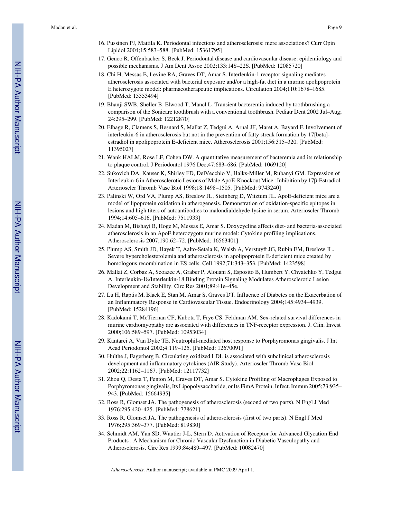- 16. Pussinen PJ, Mattila K. Periodontal infections and atherosclerosis: mere associations? Curr Opin Lipidol 2004;15:583–588. [PubMed: 15361795]
- 17. Genco R, Offenbacher S, Beck J. Periodontal disease and cardiovascular disease: epidemiology and possible mechanisms. J Am Dent Assoc 2002;133:14S–22S. [PubMed: 12085720]
- 18. Chi H, Messas E, Levine RA, Graves DT, Amar S. Interleukin-1 receptor signaling mediates atherosclerosis associated with bacterial exposure and/or a high-fat diet in a murine apolipoprotein E heterozygote model: pharmacotherapeutic implications. Circulation 2004;110:1678–1685. [PubMed: 15353494]
- 19. Bhanji SWB, Sheller B, Elwood T, Mancl L. Transient bacteremia induced by toothbrushing a comparison of the Sonicare toothbrush with a conventional toothbrush. Pediatr Dent 2002 Jul–Aug; 24:295–299. [PubMed: 12212870]
- 20. Elhage R, Clamens S, Besnard S, Mallat Z, Tedgui A, Arnal JF, Maret A, Bayard F. Involvement of interleukin-6 in atherosclerosis but not in the prevention of fatty streak formation by 17[beta] estradiol in apolipoprotein E-deficient mice. Atherosclerosis 2001;156:315–320. [PubMed: 11395027]
- 21. Wank HALM, Rose LF, Cohen DW. A quantitative measurement of bacteremia and its relationship to plaque control. J Periodontol 1976 Dec;47:683–686. [PubMed: 1069120]
- 22. Sukovich DA, Kauser K, Shirley FD, DelVecchio V, Halks-Miller M, Rubanyi GM. Expression of Interleukin-6 in Atherosclerotic Lesions of Male ApoE-Knockout Mice : Inhibition by 17β-Estradiol. Arterioscler Thromb Vasc Biol 1998;18:1498–1505. [PubMed: 9743240]
- 23. Palinski W, Ord VA, Plump AS, Breslow JL, Steinberg D, Witztum JL. ApoE-deficient mice are a model of lipoprotein oxidation in atherogenesis. Demonstration of oxidation-specific epitopes in lesions and high titers of autoantibodies to malondialdehyde-lysine in serum. Arterioscler Thromb 1994;14:605–616. [PubMed: 7511933]
- 24. Madan M, Bishayi B, Hoge M, Messas E, Amar S. Doxycycline affects diet- and bacteria-associated atherosclerosis in an ApoE heterozygote murine model: Cytokine profiling implications. Atherosclerosis 2007;190:62–72. [PubMed: 16563401]
- 25. Plump AS, Smith JD, Hayek T, Aalto-Setala K, Walsh A, Verstuyft JG, Rubin EM, Breslow JL. Severe hypercholesterolemia and atherosclerosis in apolipoprotein E-deficient mice created by homologous recombination in ES cells. Cell 1992;71:343–353. [PubMed: 1423598]
- 26. Mallat Z, Corbaz A, Scoazec A, Graber P, Alouani S, Esposito B, Humbert Y, Chvatchko Y, Tedgui A. Interleukin-18/Interleukin-18 Binding Protein Signaling Modulates Atherosclerotic Lesion Development and Stability. Circ Res 2001;89:41e–45e.
- 27. Lu H, Raptis M, Black E, Stan M, Amar S, Graves DT. Influence of Diabetes on the Exacerbation of an Inflammatory Response in Cardiovascular Tissue. Endocrinology 2004;145:4934–4939. [PubMed: 15284196]
- 28. Kadokami T, McTiernan CF, Kubota T, Frye CS, Feldman AM. Sex-related survival differences in murine cardiomyopathy are associated with differences in TNF-receptor expression. J. Clin. Invest 2000;106:589–597. [PubMed: 10953034]
- 29. Kantarci A, Van Dyke TE. Neutrophil-mediated host response to Porphyromonas gingivalis. J Int Acad Periodontol 2002;4:119–125. [PubMed: 12670091]
- 30. Hulthe J, Fagerberg B. Circulating oxidized LDL is associated with subclinical atherosclerosis development and inflammatory cytokines (AIR Study). Arterioscler Thromb Vasc Biol 2002;22:1162–1167. [PubMed: 12117732]
- 31. Zhou Q, Desta T, Fenton M, Graves DT, Amar S. Cytokine Profiling of Macrophages Exposed to Porphyromonas gingivalis, Its Lipopolysaccharide, or Its FimA Protein. Infect. Immun 2005;73:935– 943. [PubMed: 15664935]
- 32. Ross R, Glomset JA. The pathogenesis of atherosclerosis (second of two parts). N Engl J Med 1976;295:420–425. [PubMed: 778621]
- 33. Ross R, Glomset JA. The pathogenesis of atherosclerosis (first of two parts). N Engl J Med 1976;295:369–377. [PubMed: 819830]
- 34. Schmidt AM, Yan SD, Wautier J-L, Stern D. Activation of Receptor for Advanced Glycation End Products : A Mechanism for Chronic Vascular Dysfunction in Diabetic Vasculopathy and Atherosclerosis. Circ Res 1999;84:489–497. [PubMed: 10082470]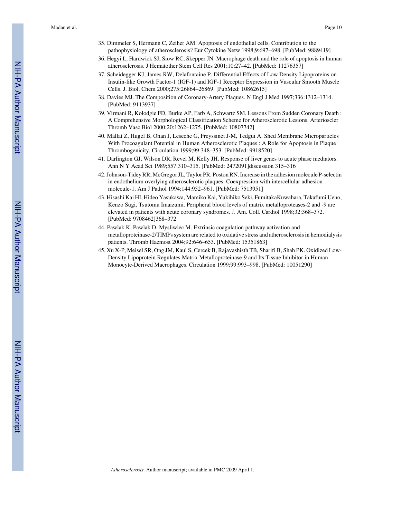- 35. Dimmeler S, Hermann C, Zeiher AM. Apoptosis of endothelial cells. Contribution to the pathophysiology of atherosclerosis? Eur Cytokine Netw 1998;9:697–698. [PubMed: 9889419]
- 36. Hegyi L, Hardwick SJ, Siow RC, Skepper JN. Macrophage death and the role of apoptosis in human atherosclerosis. J Hematother Stem Cell Res 2001;10:27–42. [PubMed: 11276357]
- 37. Scheidegger KJ, James RW, Delafontaine P. Differential Effects of Low Density Lipoproteins on Insulin-like Growth Factor-1 (IGF-1) and IGF-1 Receptor Expression in Vascular Smooth Muscle Cells. J. Biol. Chem 2000;275:26864–26869. [PubMed: 10862615]
- 38. Davies MJ. The Composition of Coronary-Artery Plaques. N Engl J Med 1997;336:1312–1314. [PubMed: 9113937]
- 39. Virmani R, Kolodgie FD, Burke AP, Farb A, Schwartz SM. Lessons From Sudden Coronary Death : A Comprehensive Morphological Classification Scheme for Atherosclerotic Lesions. Arterioscler Thromb Vasc Biol 2000;20:1262–1275. [PubMed: 10807742]
- 40. Mallat Z, Hugel B, Ohan J, Leseche G, Freyssinet J-M, Tedgui A. Shed Membrane Microparticles With Procoagulant Potential in Human Atherosclerotic Plaques : A Role for Apoptosis in Plaque Thrombogenicity. Circulation 1999;99:348–353. [PubMed: 9918520]
- 41. Darlington GJ, Wilson DR, Revel M, Kelly JH. Response of liver genes to acute phase mediators. Ann N Y Acad Sci 1989;557:310–315. [PubMed: 2472091]discussion 315–316
- 42. Johnson-Tidey RR, McGregor JL, Taylor PR, Poston RN. Increase in the adhesion molecule P-selectin in endothelium overlying atherosclerotic plaques. Coexpression with intercellular adhesion molecule-1. Am J Pathol 1994;144:952–961. [PubMed: 7513951]
- 43. Hisashi Kai HI, Hideo Yasukawa, Mamiko Kai, Yukihiko Seki, FumitakaKuwahara, Takafumi Ueno, Kenzo Sugi, Tsutomu Imaizumi. Peripheral blood levels of matrix metalloproteases-2 and -9 are elevated in patients with acute coronary syndromes. J. Am. Coll. Cardiol 1998;32:368–372. [PubMed: 9708462]368–372
- 44. Pawlak K, Pawlak D, Mysliwiec M. Extrinsic coagulation pathway activation and metalloproteinase-2/TIMPs system are related to oxidative stress and atherosclerosis in hemodialysis patients. Thromb Haemost 2004;92:646–653. [PubMed: 15351863]
- 45. Xu X-P, Meisel SR, Ong JM, Kaul S, Cercek B, Rajavashisth TB, Sharifi B, Shah PK. Oxidized Low-Density Lipoprotein Regulates Matrix Metalloproteinase-9 and Its Tissue Inhibitor in Human Monocyte-Derived Macrophages. Circulation 1999;99:993–998. [PubMed: 10051290]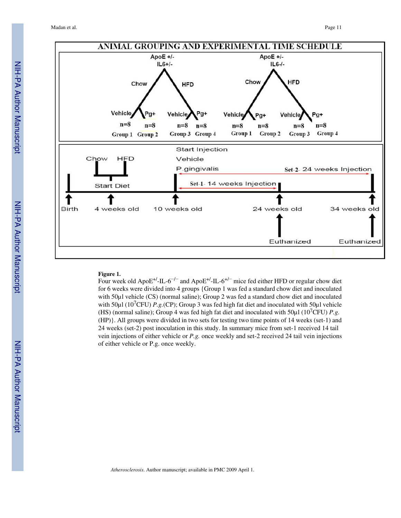

#### **Figure 1.**

Four week old ApoE<sup>+/</sup>-IL-6<sup>-/-</sup> and ApoE<sup>+/</sup>-IL-6<sup>+/-</sup> mice fed either HFD or regular chow diet for 6 weeks were divided into 4 groups {Group 1 was fed a standard chow diet and inoculated with 50 $\mu$ l vehicle (CS) (normal saline); Group 2 was fed a standard chow diet and inoculated with 50 $\mu$ l (10<sup>7</sup>CFU) *P.g.*(CP); Group 3 was fed high fat diet and inoculated with 50 $\mu$ l vehicle (HS) (normal saline); Group 4 was fed high fat diet and inoculated with  $50\mu$ l (10<sup>7</sup>CFU) *P.g.* (HP)}. All groups were divided in two sets for testing two time points of 14 weeks (set-1) and 24 weeks (set-2) post inoculation in this study. In summary mice from set-1 received 14 tail vein injections of either vehicle or *P.g.* once weekly and set-2 received 24 tail vein injections of either vehicle or P.g. once weekly.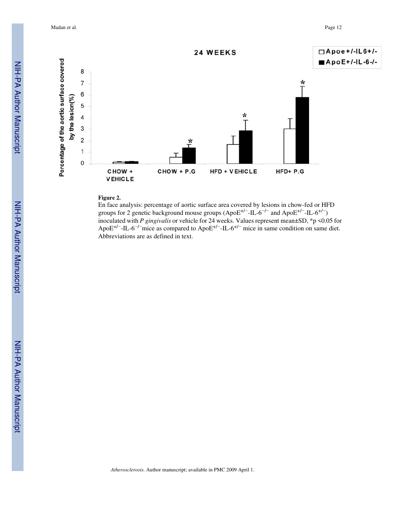Madan et al. Page 12



#### **Figure 2.**

En face analysis: percentage of aortic surface area covered by lesions in chow-fed or HFD groups for 2 genetic background mouse groups (ApoE<sup>+/−</sup>-IL-6<sup>-/−</sup> and ApoE<sup>+/−</sup>-IL-6<sup>+/−</sup>) inoculated with *P gingivalis* or vehicle for 24 weeks. Values represent mean±SD, \*p <0.05 for ApoE<sup>+/−</sup>-IL-6<sup>-/−</sup>mice as compared to ApoE<sup>+/−</sup>-IL-6<sup>+/−</sup> mice in same condition on same diet. Abbreviations are as defined in text.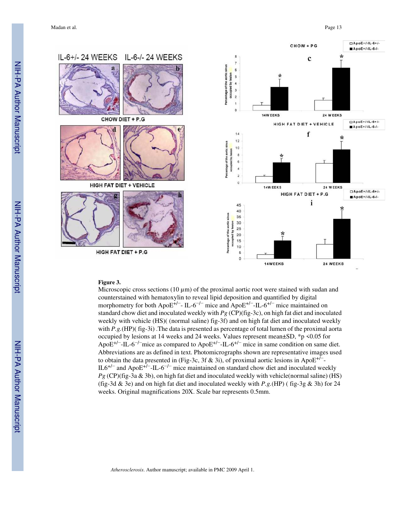Madan et al. **Page 13** Page 13



#### **Figure 3.**

Microscopic cross sections (10  $\mu$ m) of the proximal aortic root were stained with sudan and counterstained with hematoxylin to reveal lipid deposition and quantified by digital morphometry for both ApoE<sup>+/−</sup>- IL-6<sup>-/−</sup> mice and ApoE<sup>+/−</sup>-IL-6<sup>+/−</sup> mice maintained on standard chow diet and inoculated weekly with *Pg* (CP)(fig-3c), on high fat diet and inoculated weekly with vehicle (HS)( (normal saline) fig-3f) and on high fat diet and inoculated weekly with *P.g.*(HP)( fig-3i). The data is presented as percentage of total lumen of the proximal aorta occupied by lesions at 14 weeks and 24 weeks. Values represent mean±SD, \*p <0.05 for ApoE<sup>+/−</sup>-IL-6<sup>-/−</sup>mice as compared to ApoE<sup>+/−</sup>-IL-6<sup>+/−</sup> mice in same condition on same diet. Abbreviations are as defined in text. Photomicrographs shown are representative images used to obtain the data presented in (Fig-3c, 3f & 3i), of proximal aortic lesions in Apo $E^{+/-}$ IL6+/− and ApoE+/−-IL-6−/− mice maintained on standard chow diet and inoculated weekly *Pg* (CP)(fig-3a & 3b), on high fat diet and inoculated weekly with vehicle(normal saline) (HS) (fig-3d & 3e) and on high fat diet and inoculated weekly with *P.g.*(HP) ( fig-3g & 3h) for 24 weeks. Original magnifications 20X. Scale bar represents 0.5mm.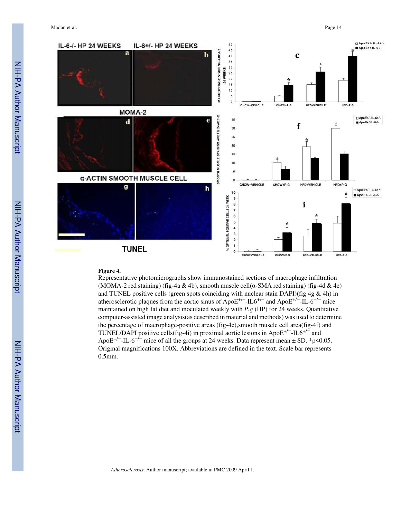

#### **Figure 4.**

Representative photomicrographs show immunostained sections of macrophage infiltration (MOMA-2 red staining) (fig-4a & 4b), smooth muscle cell( $\alpha$ -SMA red staining) (fig-4d & 4e) and TUNEL positive cells (green spots coinciding with nuclear stain DAPI)(fig 4g & 4h) in atherosclerotic plaques from the aortic sinus of ApoE+/−-IL6+/− and ApoE+/−-IL-6−/− mice maintained on high fat diet and inoculated weekly with *P.g* (HP) for 24 weeks. Quantitative computer-assisted image analysis(as described in material and methods) was used to determine the percentage of macrophage-positive areas (fig-4c),smooth muscle cell area(fig-4f) and TUNEL/DAPI positive cells(fig-4i) in proximal aortic lesions in ApoE+/−-IL6+/− and ApoE<sup>+/−</sup>-IL-6<sup>-/−</sup> mice of all the groups at 24 weeks. Data represent mean  $\pm$  SD. \*p<0.05. Original magnifications 100X. Abbreviations are defined in the text. Scale bar represents 0.5mm.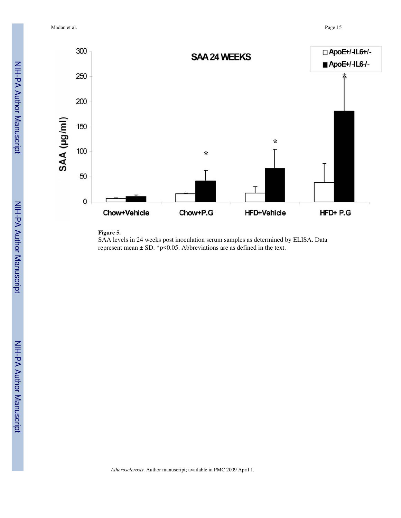Madan et al. Page 15



#### **Figure 5.**

SAA levels in 24 weeks post inoculation serum samples as determined by ELISA. Data represent mean  $\pm$  SD. \*p<0.05. Abbreviations are as defined in the text.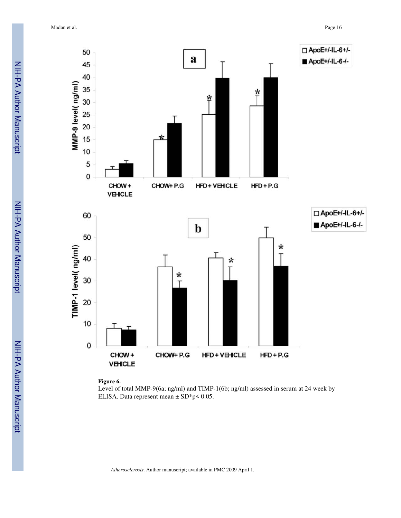Madan et al. Page 16



**Figure 6.**

Level of total MMP-9(6a; ng/ml) and TIMP-1(6b; ng/ml) assessed in serum at 24 week by ELISA. Data represent mean  $\pm$  SD\*p< 0.05.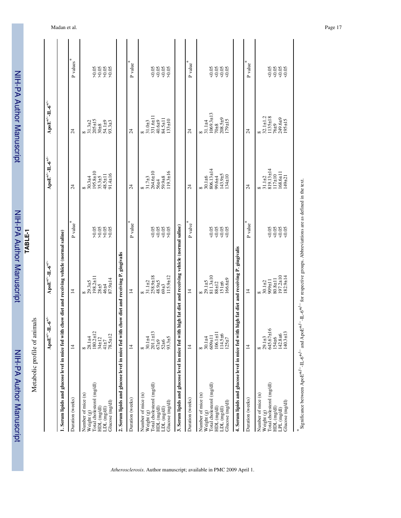|                                                                                                                                                                                | $\bf{ApoE}^{+'}$ -IL- $\bf{6}^{+'}$                                                 | $\bf{ApoE}^{+'-}IL\text{-}6^{+'-}$                                                  |                                         | $\bf{ApoE}^{+/-}$ -IL- $\bf{6}^{+/-}$                                               | $\bf{ApoE}^{+'-}IL\text{-}6^{+'-}$                                                   |                                    |
|--------------------------------------------------------------------------------------------------------------------------------------------------------------------------------|-------------------------------------------------------------------------------------|-------------------------------------------------------------------------------------|-----------------------------------------|-------------------------------------------------------------------------------------|--------------------------------------------------------------------------------------|------------------------------------|
| 1. Serum lipids and glucose level in mice fed with                                                                                                                             |                                                                                     | h chow diet and receiving vehicle (normal saline)                                   |                                         |                                                                                     |                                                                                      |                                    |
| Duration (weeks)                                                                                                                                                               | $\overline{4}$                                                                      | $\overline{4}$                                                                      | ₩<br>P value                            | $\overline{24}$                                                                     | $\overline{z}$                                                                       | P values $\hspace{0.1mm}^*$        |
| Total cholesterol (mg/dl)<br>Number of mice (n)<br>Glucose (mg/dl)<br>HDL (mg/dl)<br>LDL (mg/dl)<br>Weight (g)                                                                 | $180.2 \pm 12$<br>$78.5 \pm 12$<br>28.1±4<br>$34 + 12$<br>$41 \pm 7$<br>$\infty$    | $198.2 \pm 11$<br>87.9±14<br>$29.3 + 5$<br>$28 + 5$<br>46±4<br>${}^{\circ}$         | 905888                                  | 195.8±10<br>$91.4 \pm 16$<br>48.5±11<br>$35.3 + 5$<br>$30.3 + 4$<br>$\infty$        | $205 \pm 15$<br>54.1±9<br>$93.3 + 3$<br>$31.3 \pm 2$<br>$30\pm8$                     | $\frac{5000}{5000}$<br>50.08       |
| 2. Serum lipids and glucose level in mice fed with chow diet and receiving P. gingivalis                                                                                       |                                                                                     |                                                                                     |                                         |                                                                                     |                                                                                      |                                    |
| Duration (weeks)                                                                                                                                                               | $\overline{4}$                                                                      | $\overline{4}$                                                                      | $P$ value $^\ast$                       | $\overline{24}$                                                                     | $\overline{24}$                                                                      | ⋇<br>P value                       |
| Weight $(g)$<br>Total cholesterol $(mg/dl)$<br>Number of mice (n)<br>Glucose (mg/dl)<br>HDL (mg/dl)<br>LDL (mg/dl)                                                             | 201.1±13<br>52±6<br>93.3±5<br>$30.1 + 4$<br>$67+9$<br>$\infty$                      | 258.9±18<br>$115.9 \pm 12$<br>48.9±5<br>$31.1 \pm 2$<br>$69 + 3$                    | 38<br>000<br>0000                       | 31.7±3<br>264.6±10<br>$19.3 \pm 16$<br>59.9±8<br>$56 + 4$<br>$\infty$               | $331.6 \pm 1$<br>84.5±11<br>$133 + 10$<br>$40.6 + 9$<br>$31.0\pm3$<br>$\infty$       | 8888<br>8888                       |
| 3. Serum lipids and glucose level in mice fed with                                                                                                                             |                                                                                     | h high fat diet and receiving vehicle (normal saline)                               |                                         |                                                                                     |                                                                                      |                                    |
| Duration (weeks)                                                                                                                                                               | $\overline{4}$                                                                      | $\overline{4}$                                                                      | $P$ valve $^\ast$                       | $\overline{24}$                                                                     | $\overline{24}$                                                                      | ${\tt P}$ value $^*$               |
| Total cholesterol (mg/dl)<br>Number of mice (n)<br>Glucose (mg/dl)<br>HDL (mg/dl)<br>LDL (mg/dl)<br>Weight $(g)$                                                               | $106.1 \pm 11$<br>$114.5\pm6$<br>$125\pm7$<br>$11\pm 609$<br>$30.1 + 4$<br>$\infty$ | 811.3±10<br>$166.6 + 9$<br>$29.1 + 5$<br>88±12<br>$151 \pm 6$<br>$\infty$           | 50.05<br>$\frac{0.05}{0.05}$            | 806.13±14<br>$143.9{\pm}5$<br>$134 \pm 10$<br>$30.1 + 6$<br>99.6±4<br>$\infty$      | $1069.3 \pm 13$<br>$208.5 + 9$<br>$179 \pm 15$<br>$31.1 + 4$<br>$70 + 8$<br>$\infty$ | 8888<br>8888                       |
| 4. Serum lipids and glucose level in mice fed wit                                                                                                                              |                                                                                     | h high fat diet and receiving P. giugivalis                                         |                                         |                                                                                     |                                                                                      |                                    |
| Duration (weeks)                                                                                                                                                               | $\overline{4}$                                                                      | $\overline{4}$                                                                      | P value                                 | $\overline{c}$                                                                      | $\overline{c}$                                                                       | P value                            |
| Total cholesterol (mg/dl)<br>Number of mice (n)<br>Glucose (mg/dl)<br>HDL (mg/dl)<br>LPL (mg/dl)<br>Weight (g)                                                                 | 645.67±16<br>$140.3 \pm 13$<br>$142.8 + 6$<br>$29.1 \pm 3$<br>154±6<br>$\infty$     | $197.2 \pm 10$<br>$82.9 \pm 14$<br>$80.8 + 11$<br>$11\overline{+}606$<br>$30.1 + 2$ | &0.05<br>$\frac{50.05}{50.05}$<br>&0.05 | 819.13±14<br>$168.6 \pm 11$<br>$117 \pm 10$<br>$149 + 21$<br>$31.1 + 2$<br>$\infty$ | $32.1 \pm 1.2$<br>$1135 \pm 18$<br>249.6±9<br>195±15<br>$76\pm9$                     | $0.05$<br>$0.05$<br>$0.05$<br>0.05 |
| Significance between ApoE <sup>+/--</sup> -IL-6 <sup>+/-</sup> and ApoE <sup>+/---</sup> IL-6 <sup>+/-</sup> for respective groups. Abbreviattions are as defined in the text. |                                                                                     |                                                                                     |                                         |                                                                                     |                                                                                      |                                    |

NIH-PA Author Manuscript

NIH-PA Author Manuscript

NIH-PA Author Manuscript

NIH-PA Author Manuscript

**TABLE-1**

NIH-PA Author Manuscript

NIH-PA Author Manuscript

Metabolic profile of animals

Metabolic profile of animals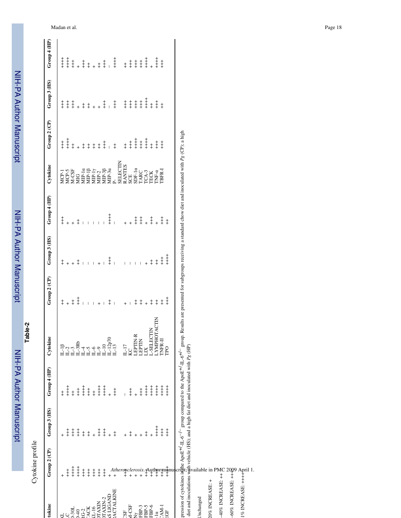NIH-PA Author Manuscript NIH-PA Author Manuscript

**Table-2**

 NIH-PA Author ManuscriptNIH-PA Author Manuscript

|                                                                                                                         | Cytokine profile                                                                                                                                                                                                                                                                                                                                        |              |                                            |                                                                                                                                                                                                                                                                            |              |                |                                                                                                        |                                                                    |                                            |                       |                                                                                                     |
|-------------------------------------------------------------------------------------------------------------------------|---------------------------------------------------------------------------------------------------------------------------------------------------------------------------------------------------------------------------------------------------------------------------------------------------------------------------------------------------------|--------------|--------------------------------------------|----------------------------------------------------------------------------------------------------------------------------------------------------------------------------------------------------------------------------------------------------------------------------|--------------|----------------|--------------------------------------------------------------------------------------------------------|--------------------------------------------------------------------|--------------------------------------------|-----------------------|-----------------------------------------------------------------------------------------------------|
| tokine                                                                                                                  | Group 2 (CP)                                                                                                                                                                                                                                                                                                                                            | Group 3 (HS) | Group 4 (HP)                               | Cytokine                                                                                                                                                                                                                                                                   | Group 2 (CP) | Group 3 (HS)   | Group 4 (HP)                                                                                           | Cytokine                                                           | Group 2 (CP)                               | Group 3 (HS)          | Group 4 (HP)                                                                                        |
|                                                                                                                         |                                                                                                                                                                                                                                                                                                                                                         |              | $\ddagger$                                 |                                                                                                                                                                                                                                                                            |              | $\ddagger$     | $\ddagger$                                                                                             | MCP-1                                                              | $\ddagger$                                 | $\ddagger$            | $\ddagger$                                                                                          |
|                                                                                                                         | $\ddagger$                                                                                                                                                                                                                                                                                                                                              | $\ddagger$   | $\begin{array}{c} + \\ + \\ + \end{array}$ | $\begin{array}{l} \bot \, 1^6 \\ \bot \, 2^1 \\ \bot \, 3 \, \text{Rb} \\ \bot \, 1^4 \\ \bot \, 1^4 \end{array}$                                                                                                                                                          | $\ddagger$ + |                | $\overline{+}$                                                                                         | $MCP-5$                                                            | $\begin{array}{c} + \\ + \\ + \end{array}$ | $\ddagger$            | $\ddagger$                                                                                          |
| $-301$                                                                                                                  | $\ddagger$                                                                                                                                                                                                                                                                                                                                              | $\ddagger$   | $\ddagger$                                 |                                                                                                                                                                                                                                                                            | $\ddagger$   |                | $\ddot{+}$                                                                                             | $M-CSF$                                                            | $\ddagger$                                 | $\ddagger$            | $\ddagger$                                                                                          |
| $-40$                                                                                                                   | $\ddagger$                                                                                                                                                                                                                                                                                                                                              | $\ddagger$   | $\ddagger$                                 |                                                                                                                                                                                                                                                                            | $\ddagger$   | $+ + +$        | $\ddagger$                                                                                             | MIG                                                                | $\overline{1}$                             | $+$                   |                                                                                                     |
| $G-2$                                                                                                                   | $\ddagger$                                                                                                                                                                                                                                                                                                                                              | $\ddagger$   | $\ddagger$                                 |                                                                                                                                                                                                                                                                            |              | $\mathbf{I}$   | $\overline{1}$                                                                                         | $MIP-1\alpha$                                                      | $\ddagger$                                 | $\ddagger$            |                                                                                                     |
| 'ACK                                                                                                                    | $\ddagger$                                                                                                                                                                                                                                                                                                                                              | $\ddagger$   |                                            |                                                                                                                                                                                                                                                                            |              | $\overline{1}$ |                                                                                                        | $MIP-1\beta$                                                       | $\ddagger$                                 | $\ddagger$            |                                                                                                     |
| $-16$                                                                                                                   | $\ddagger$                                                                                                                                                                                                                                                                                                                                              | $+$          |                                            |                                                                                                                                                                                                                                                                            | $\mathbf{I}$ | $\overline{1}$ | $\overline{\phantom{0}}$                                                                               | $MIP-1\gamma$                                                      | $\ddagger$                                 |                       |                                                                                                     |
| <b>TAXIN</b>                                                                                                            | $\ddagger$                                                                                                                                                                                                                                                                                                                                              | $\ddagger$   | $7 + 7 + 7$                                | neo<br>⊔⊔⊔                                                                                                                                                                                                                                                                 | $+1$         | $\overline{+}$ |                                                                                                        | $MIP-2$                                                            | $\ddagger$                                 |                       | $\begin{array}{cccccccc} & + & & & + & & + \\ + & + & + & & + & + \\ + & + & + & + & + \end{array}$ |
| TAXIN-2                                                                                                                 | $\ddagger$                                                                                                                                                                                                                                                                                                                                              | $\ddagger$   | $\ddagger$                                 | $L-10$                                                                                                                                                                                                                                                                     |              |                |                                                                                                        | $MIP-3\beta$<br>$MIP-3\alpha$                                      | $\ddagger$                                 | $\ddagger$            |                                                                                                     |
| <b>SLIGAND</b>                                                                                                          |                                                                                                                                                                                                                                                                                                                                                         |              | $+$                                        | $_{\rm L-12p^{70}}^{\rm L-12p^{70}}$                                                                                                                                                                                                                                       | $\ddagger$ 1 | $\ddagger$     | $\ddagger$                                                                                             |                                                                    |                                            |                       | $\begin{array}{c} + \\ + \\ + \end{array}$                                                          |
| <b>ACTALKINE</b>                                                                                                        |                                                                                                                                                                                                                                                                                                                                                         | $\ddagger$   | $\ddagger$                                 |                                                                                                                                                                                                                                                                            |              |                |                                                                                                        | $\Delta$                                                           | $\ddagger$                                 | $\ddagger$            |                                                                                                     |
|                                                                                                                         | Atherosclerosis.<br>+ + + + + +                                                                                                                                                                                                                                                                                                                         |              |                                            |                                                                                                                                                                                                                                                                            |              |                |                                                                                                        | SELECTIN                                                           |                                            |                       |                                                                                                     |
| SF <sub>1</sub>                                                                                                         |                                                                                                                                                                                                                                                                                                                                                         |              |                                            | $\frac{L-17}{KC}$                                                                                                                                                                                                                                                          | $\ddot{}$    |                | $\ddot{}$                                                                                              | <b>RANTES</b>                                                      | $\ddagger$                                 | $\ddagger$            |                                                                                                     |
|                                                                                                                         |                                                                                                                                                                                                                                                                                                                                                         | $\ddagger$   | $\ddagger$                                 |                                                                                                                                                                                                                                                                            |              |                |                                                                                                        | SCE                                                                | $\ddagger$                                 | $\ddagger$            |                                                                                                     |
|                                                                                                                         |                                                                                                                                                                                                                                                                                                                                                         |              |                                            | LEPTIN-R                                                                                                                                                                                                                                                                   | $\ddagger$   | $\overline{1}$ | $\ddagger$                                                                                             | $SDF-1\alpha$                                                      | $+ +$                                      | $\ddagger$            |                                                                                                     |
| $\begin{array}{l} \text{GSE} \\ \text{GPE} \\ \text{FEP-3} \\ \text{FEP-4} \\ \text{FEP-5} \\ \text{FEP-6} \end{array}$ |                                                                                                                                                                                                                                                                                                                                                         |              | $\ddagger$                                 | LEPTIN                                                                                                                                                                                                                                                                     | $\ddagger$   |                | $\ddagger$                                                                                             | TARC                                                               | $\ddagger$                                 | $\ddagger$            |                                                                                                     |
|                                                                                                                         |                                                                                                                                                                                                                                                                                                                                                         |              |                                            |                                                                                                                                                                                                                                                                            | $^{+}$       |                | $+$                                                                                                    | TCA-3                                                              | $\frac{+}{+}$                              | $\ddagger$            |                                                                                                     |
|                                                                                                                         |                                                                                                                                                                                                                                                                                                                                                         |              |                                            |                                                                                                                                                                                                                                                                            | $\ddagger$   | $\ddagger$     | $\ddagger$                                                                                             | <b>TECK</b>                                                        | $\ddagger$                                 | $\ddagger$            | $\overline{a}$                                                                                      |
|                                                                                                                         |                                                                                                                                                                                                                                                                                                                                                         |              |                                            |                                                                                                                                                                                                                                                                            | $\ddagger$   | $\ddagger$     | $\overline{a}$                                                                                         | $\begin{array}{ll} \text{TNF-}\alpha \\ \text{TBFR-I} \end{array}$ | $\ddagger$                                 | $\ddagger$ $\ddagger$ | $\overline{1}$                                                                                      |
|                                                                                                                         |                                                                                                                                                                                                                                                                                                                                                         |              |                                            |                                                                                                                                                                                                                                                                            | $\ddagger$   | $\ddagger$     | $\ddagger$                                                                                             |                                                                    | $\ddagger$                                 |                       | $\ddagger$                                                                                          |
|                                                                                                                         |                                                                                                                                                                                                                                                                                                                                                         |              |                                            | $\begin{array}{ll} \textcolor{red}{\textbf{L-SBLECTN}}\\ \textcolor{red}{\textbf{L}{}{}{}{}\textbf{YMPH}{}{}\textbf{O}{}{}{}\textbf{T}\textbf{A}\textbf{C}\textbf{T}\textbf{I}\textbf{N}}\\ \textcolor{red}{\textbf{T}\textbf{NFR-II}}\\ \textbf{P}\textbf{O} \end{array}$ | $\ddagger$   | $\frac{1}{1}$  | $\ddagger$                                                                                             |                                                                    |                                            |                       |                                                                                                     |
|                                                                                                                         |                                                                                                                                                                                                                                                                                                                                                         |              |                                            |                                                                                                                                                                                                                                                                            |              |                |                                                                                                        |                                                                    |                                            |                       |                                                                                                     |
|                                                                                                                         |                                                                                                                                                                                                                                                                                                                                                         |              |                                            |                                                                                                                                                                                                                                                                            |              |                | Results are presented for subgroups receiving a standard chow diet and inoculated with Pg (CP); a high |                                                                    |                                            |                       |                                                                                                     |
|                                                                                                                         | FBP-5<br>FBP-6<br>$+ + \frac{1}{2}$<br>FBP-6<br>$+ + \frac{1}{2}$<br>$+ + \frac{1}{2}$<br>$+ + \frac{1}{2}$<br>$+ + \frac{1}{2}$<br>$+ + \frac{1}{2}$<br>$+ + \frac{1}{2}$<br>$+ + \frac{1}{2}$<br>$+ + \frac{1}{2}$<br>$+ + \frac{1}{2}$<br>$+ + \frac{1}{2}$<br>$+ + \frac{1}{2}$<br>$+ + \frac{1}{2}$<br>TDO<br>TDO<br>TDO<br>TDO<br>TDO<br>TDO<br>T |              |                                            |                                                                                                                                                                                                                                                                            |              |                |                                                                                                        |                                                                    |                                            |                       |                                                                                                     |
|                                                                                                                         |                                                                                                                                                                                                                                                                                                                                                         |              |                                            |                                                                                                                                                                                                                                                                            |              |                |                                                                                                        |                                                                    |                                            |                       |                                                                                                     |
| Jnchanged                                                                                                               |                                                                                                                                                                                                                                                                                                                                                         |              |                                            |                                                                                                                                                                                                                                                                            |              |                |                                                                                                        |                                                                    |                                            |                       |                                                                                                     |
| 20% INCREASE: +                                                                                                         |                                                                                                                                                                                                                                                                                                                                                         |              |                                            |                                                                                                                                                                                                                                                                            |              |                |                                                                                                        |                                                                    |                                            |                       |                                                                                                     |
| PMC<br>+ iii<br>soft<br>soft<br>soft                                                                                    |                                                                                                                                                                                                                                                                                                                                                         |              |                                            |                                                                                                                                                                                                                                                                            |              |                |                                                                                                        |                                                                    |                                            |                       |                                                                                                     |
|                                                                                                                         |                                                                                                                                                                                                                                                                                                                                                         |              |                                            |                                                                                                                                                                                                                                                                            |              |                |                                                                                                        |                                                                    |                                            |                       |                                                                                                     |
| 2009<br>-60% INCREASE: ++++                                                                                             |                                                                                                                                                                                                                                                                                                                                                         |              |                                            |                                                                                                                                                                                                                                                                            |              |                |                                                                                                        |                                                                    |                                            |                       |                                                                                                     |
| April 1<br>+++<br>::<br>:<br>:<br><br>S                                                                                 |                                                                                                                                                                                                                                                                                                                                                         |              |                                            |                                                                                                                                                                                                                                                                            |              |                |                                                                                                        |                                                                    |                                            |                       |                                                                                                     |
|                                                                                                                         |                                                                                                                                                                                                                                                                                                                                                         |              |                                            |                                                                                                                                                                                                                                                                            |              |                |                                                                                                        |                                                                    |                                            |                       |                                                                                                     |
|                                                                                                                         |                                                                                                                                                                                                                                                                                                                                                         |              |                                            |                                                                                                                                                                                                                                                                            |              |                |                                                                                                        |                                                                    |                                            |                       |                                                                                                     |

Madan et al. Page 18